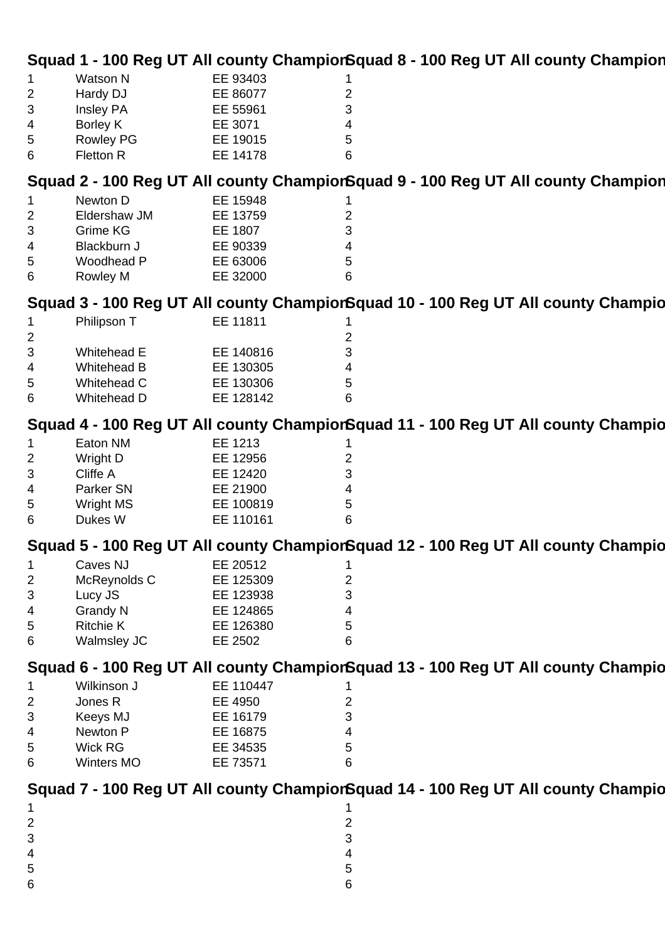|                                                                                       |                  | Squad 1 - 100 Reg UT All county ChampiorSquad 8 - 100 Reg UT All county Champion |   |  |  |
|---------------------------------------------------------------------------------------|------------------|----------------------------------------------------------------------------------|---|--|--|
|                                                                                       | <b>Watson N</b>  | EE 93403                                                                         |   |  |  |
| $\overline{2}$                                                                        | Hardy DJ         | EE 86077                                                                         | 2 |  |  |
| $\ensuremath{\mathsf{3}}$                                                             | Insley PA        | EE 55961                                                                         | 3 |  |  |
| 4                                                                                     | Borley K         | EE 3071                                                                          |   |  |  |
| 5                                                                                     | <b>Rowley PG</b> | EE 19015                                                                         | 5 |  |  |
| 6                                                                                     | <b>Fletton R</b> | EE 14178                                                                         | 6 |  |  |
|                                                                                       |                  |                                                                                  |   |  |  |
| Squad 2 - 100 Reg UT All county ChampiorSquad 9 - 100 Reg UT All county Champion      |                  |                                                                                  |   |  |  |
|                                                                                       | Newton D         | EE 15948                                                                         |   |  |  |
| $\overline{2}$                                                                        | Eldershaw JM     | EE 13759                                                                         | 2 |  |  |
| $\ensuremath{\mathsf{3}}$                                                             | <b>Grime KG</b>  | EE 1807                                                                          | 3 |  |  |
| 4                                                                                     | Blackburn J      | EE 90339                                                                         | 4 |  |  |
| 5                                                                                     | Woodhead P       | EE 63006                                                                         | 5 |  |  |
| 6                                                                                     | Rowley M         | EE 32000                                                                         | 6 |  |  |
|                                                                                       |                  |                                                                                  |   |  |  |
| Squad 3 - 100 Reg UT All county ChampiorSquad 10 - 100 Reg UT All county Champio      |                  |                                                                                  |   |  |  |
|                                                                                       | Philipson T      | EE 11811                                                                         |   |  |  |
| $\overline{2}$                                                                        |                  |                                                                                  | 2 |  |  |
| $\ensuremath{\mathsf{3}}$                                                             | Whitehead E      | EE 140816                                                                        | 3 |  |  |
| 4                                                                                     | Whitehead B      | EE 130305                                                                        | 4 |  |  |
| 5                                                                                     | Whitehead C      | EE 130306                                                                        | 5 |  |  |
| 6                                                                                     | Whitehead D      | EE 128142                                                                        | 6 |  |  |
| Squad 4 - 100 Reg UT All county ChampiorSquad 11 - 100 Reg UT All county Champio      |                  |                                                                                  |   |  |  |
|                                                                                       |                  |                                                                                  |   |  |  |
|                                                                                       | Eaton NM         | EE 1213                                                                          |   |  |  |
| $\overline{2}$                                                                        | Wright D         | EE 12956                                                                         | 2 |  |  |
| $\mathfrak{B}$                                                                        | Cliffe A         | EE 12420                                                                         | 3 |  |  |
| 4                                                                                     | Parker SN        | EE 21900                                                                         |   |  |  |
| 5                                                                                     | <b>Wright MS</b> | EE 100819                                                                        | 5 |  |  |
| 6                                                                                     | Dukes W          | EE 110161                                                                        | 6 |  |  |
| Squad 5 - 100 Reg UT All county ChampiorSquad 12 - 100 Reg UT All county Champio      |                  |                                                                                  |   |  |  |
| 1                                                                                     | Caves NJ         | EE 20512                                                                         |   |  |  |
| $\overline{2}$                                                                        | McReynolds C     | EE 125309                                                                        | 2 |  |  |
| 3                                                                                     | Lucy JS          | EE 123938                                                                        | 3 |  |  |
| 4                                                                                     | <b>Grandy N</b>  | EE 124865                                                                        | 4 |  |  |
| 5                                                                                     | <b>Ritchie K</b> | EE 126380                                                                        | 5 |  |  |
| 6                                                                                     | Walmsley JC      | EE 2502                                                                          | 6 |  |  |
|                                                                                       |                  |                                                                                  |   |  |  |
| Squad 6 - 100 Reg UT All county ChampiorSquad 13 - 100 Reg UT All county Champio      |                  |                                                                                  |   |  |  |
| 1                                                                                     | Wilkinson J      | EE 110447                                                                        |   |  |  |
| $\overline{2}$                                                                        | Jones R          | EE 4950                                                                          | 2 |  |  |
| $\ensuremath{\mathsf{3}}$                                                             | Keeys MJ         | EE 16179                                                                         | 3 |  |  |
| $\overline{\mathcal{A}}$                                                              | Newton P         | EE 16875                                                                         |   |  |  |
| 5                                                                                     | Wick RG          | EE 34535                                                                         | 5 |  |  |
| 6                                                                                     | Winters MO       | EE 73571                                                                         | 6 |  |  |
|                                                                                       |                  |                                                                                  |   |  |  |
| Squad 7 - 100 Reg UT All county ChampiorSquad 14 - 100 Reg UT All county Champio<br>1 |                  |                                                                                  |   |  |  |
| $\overline{2}$                                                                        |                  |                                                                                  | 2 |  |  |
| $\ensuremath{\mathsf{3}}$                                                             |                  |                                                                                  | 3 |  |  |
| 4                                                                                     |                  |                                                                                  | 4 |  |  |
| 5                                                                                     |                  |                                                                                  | 5 |  |  |
| 6                                                                                     |                  |                                                                                  | 6 |  |  |
|                                                                                       |                  |                                                                                  |   |  |  |